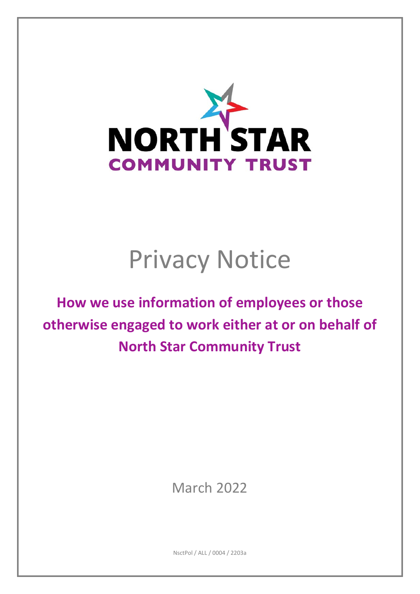

# Privacy Notice

**How we use information of employees or those otherwise engaged to work either at or on behalf of North Star Community Trust** 

March 2022

NsctPol / ALL / 0004 / 2203a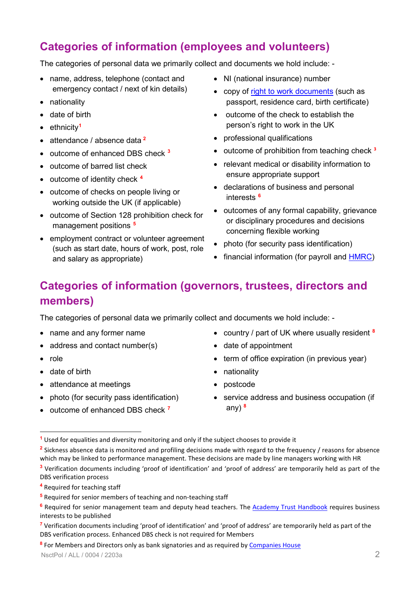# **Categories of information (employees and volunteers)**

The categories of personal data we primarily collect and documents we hold include: -

- name, address, telephone (contact and emergency contact / next of kin details)
- nationality
- date of birth
- ethnicity**[1](#page-1-0)**
- attendance / absence data **[2](#page-1-1)**
- outcome of enhanced DBS check **[3](#page-1-2)**
- outcome of barred list check
- outcome of identity check **[4](#page-1-3)**
- outcome of checks on people living or working outside the UK (if applicable)
- outcome of Section 128 prohibition check for management positions **[5](#page-1-4)**
- employment contract or volunteer agreement (such as start date, hours of work, post, role and salary as appropriate)
- NI (national insurance) number
- copy of [right to work documents](https://www.gov.uk/government/publications/right-to-work-checks-employers-guide) (such as passport, residence card, birth certificate)
- outcome of the check to establish the person's right to work in the UK
- professional qualifications
- outcome of prohibition from teaching check **<sup>3</sup>**
- relevant medical or disability information to ensure appropriate support
- declarations of business and personal interests **[6](#page-1-5)**
- outcomes of any formal capability, grievance or disciplinary procedures and decisions concerning flexible working
- photo (for security pass identification)
- financial information (for payroll and **HMRC**)

# **Categories of information (governors, trustees, directors and members)**

The categories of personal data we primarily collect and documents we hold include: -

- name and any former name
- address and contact number(s)
- role

-

- date of birth
- attendance at meetings
- photo (for security pass identification)
- outcome of enhanced DBS check **[7](#page-1-6)**
- country / part of UK where usually resident **[8](#page-1-7)**
- date of appointment
- term of office expiration (in previous year)
- nationality
- postcode
- service address and business occupation (if any) **<sup>8</sup>**

<span id="page-1-3"></span>**<sup>4</sup>** Required for teaching staff

<span id="page-1-7"></span>**<sup>8</sup>** For Members and Directors only as bank signatories and as required b[y Companies House](https://www.gov.uk/government/organisations/companies-house)

<span id="page-1-0"></span>**<sup>1</sup>** Used for equalities and diversity monitoring and only if the subject chooses to provide it

<span id="page-1-1"></span>**<sup>2</sup>** Sickness absence data is monitored and profiling decisions made with regard to the frequency / reasons for absence which may be linked to performance management. These decisions are made by line managers working with HR

<span id="page-1-2"></span>**<sup>3</sup>** Verification documents including 'proof of identification' and 'proof of address' are temporarily held as part of the DBS verification process

<span id="page-1-4"></span>**<sup>5</sup>** Required for senior members of teaching and non-teaching staff

<span id="page-1-5"></span>**<sup>6</sup>** Required for senior management team and deputy head teachers. The [Academy Trust Handbook](https://www.gov.uk/guidance/academy-trust-handbook) requires business interests to be published

<span id="page-1-6"></span>**<sup>7</sup>** Verification documents including 'proof of identification' and 'proof of address' are temporarily held as part of the DBS verification process. Enhanced DBS check is not required for Members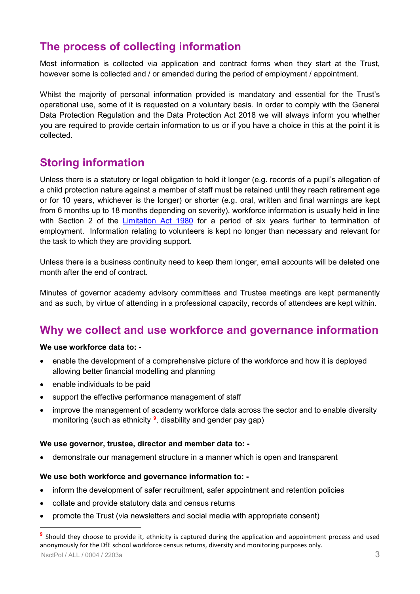# **The process of collecting information**

Most information is collected via application and contract forms when they start at the Trust, however some is collected and / or amended during the period of employment / appointment.

Whilst the majority of personal information provided is mandatory and essential for the Trust's operational use, some of it is requested on a voluntary basis. In order to comply with the General Data Protection Regulation and the Data Protection Act 2018 we will always inform you whether you are required to provide certain information to us or if you have a choice in this at the point it is collected.

# **Storing information**

Unless there is a statutory or legal obligation to hold it longer (e.g. records of a pupil's allegation of a child protection nature against a member of staff must be retained until they reach retirement age or for 10 years, whichever is the longer) or shorter (e.g. oral, written and final warnings are kept from 6 months up to 18 months depending on severity), workforce information is usually held in line with Section 2 of the [Limitation Act 1980](https://www.legislation.gov.uk/ukpga/1980/58) for a period of six years further to termination of employment. Information relating to volunteers is kept no longer than necessary and relevant for the task to which they are providing support.

Unless there is a business continuity need to keep them longer, email accounts will be deleted one month after the end of contract.

Minutes of governor academy advisory committees and Trustee meetings are kept permanently and as such, by virtue of attending in a professional capacity, records of attendees are kept within.

# **Why we collect and use workforce and governance information**

#### **We use workforce data to:** -

- enable the development of a comprehensive picture of the workforce and how it is deployed allowing better financial modelling and planning
- enable individuals to be paid
- support the effective performance management of staff
- improve the management of academy workforce data across the sector and to enable diversity monitoring (such as ethnicity **[9](#page-2-0)** , disability and gender pay gap)

#### **We use governor, trustee, director and member data to: -**

• demonstrate our management structure in a manner which is open and transparent

#### **We use both workforce and governance information to: -**

- inform the development of safer recruitment, safer appointment and retention policies
- collate and provide statutory data and census returns
- promote the Trust (via newsletters and social media with appropriate consent)

<u>.</u>

<span id="page-2-0"></span>NsctPol / ALL / 0004 / 2203a 3 **<sup>9</sup>** Should they choose to provide it, ethnicity is captured during the application and appointment process and used anonymously for the DfE school workforce census returns, diversity and monitoring purposes only.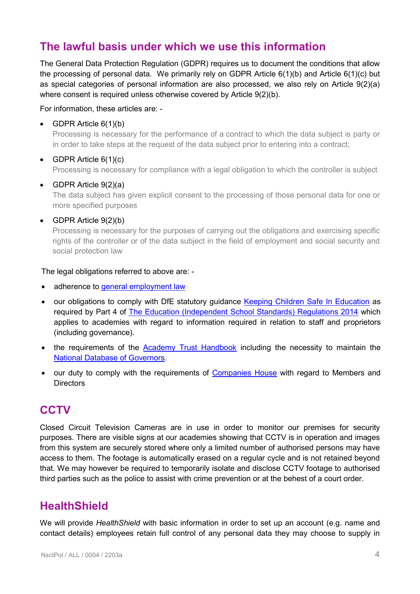# **The lawful basis under which we use this information**

The General Data Protection Regulation (GDPR) requires us to document the conditions that allow the processing of personal data. We primarily rely on GDPR Article 6(1)(b) and Article 6(1)(c) but as special categories of personal information are also processed, we also rely on Article 9(2)(a) where consent is required unless otherwise covered by Article 9(2)(b).

For information, these articles are: -

• GDPR Article 6(1)(b)

Processing is necessary for the performance of a contract to which the data subject is party or in order to take steps at the request of the data subject prior to entering into a contract;

• GDPR Article  $6(1)(c)$ 

Processing is necessary for compliance with a legal obligation to which the controller is subject

• GDPR Article 9(2)(a)

The data subject has given explicit consent to the processing of those personal data for one or more specified purposes

• GDPR Article 9(2)(b)

Processing is necessary for the purposes of carrying out the obligations and exercising specific rights of the controller or of the data subject in the field of employment and social security and social protection law

#### The legal obligations referred to above are: -

- adherence to [general employment law](https://www.gov.uk/browse/employing-people/contracts)
- our obligations to comply with DfE statutory guidance [Keeping Children Safe In Education](https://www.gov.uk/government/publications/keeping-children-safe-in-education--2) as required by Part 4 of [The Education \(Independent School Standards\) Regulations 2014](http://www.legislation.gov.uk/uksi/2014/3283/schedule/made) which applies to academies with regard to information required in relation to staff and proprietors (including governance).
- the requirements of the [Academy Trust Handbook](https://www.gov.uk/guidance/academy-trust-handbook) including the necessity to maintain the **[National Database of Governors.](https://www.gov.uk/government/news/national-database-of-governors)**
- our duty to comply with the requirements of [Companies House](https://www.gov.uk/government/organisations/companies-house) with regard to Members and **Directors**

## **CCTV**

Closed Circuit Television Cameras are in use in order to monitor our premises for security purposes. There are visible signs at our academies showing that CCTV is in operation and images from this system are securely stored where only a limited number of authorised persons may have access to them. The footage is automatically erased on a regular cycle and is not retained beyond that. We may however be required to temporarily isolate and disclose CCTV footage to authorised third parties such as the police to assist with crime prevention or at the behest of a court order.

## **HealthShield**

We will provide *HealthShield* with basic information in order to set up an account (e.g. name and contact details) employees retain full control of any personal data they may choose to supply in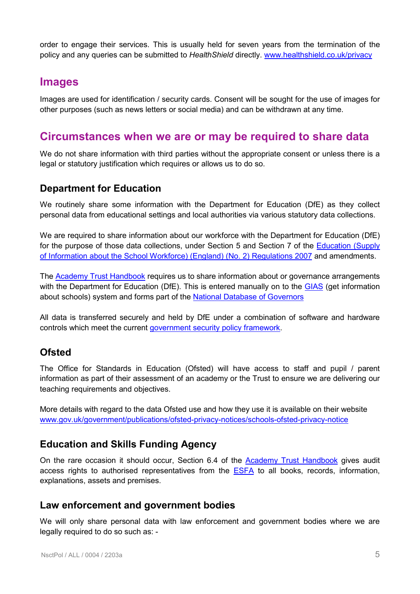order to engage their services. This is usually held for seven years from the termination of the policy and any queries can be submitted to *HealthShield* directly. [www.healthshield.co.uk/privacy](http://www.healthshield.co.uk/privacy)

## **Images**

Images are used for identification / security cards. Consent will be sought for the use of images for other purposes (such as news letters or social media) and can be withdrawn at any time.

## **Circumstances when we are or may be required to share data**

We do not share information with third parties without the appropriate consent or unless there is a legal or statutory justification which requires or allows us to do so.

## **Department for Education**

We routinely share some information with the Department for Education (DfE) as they collect personal data from educational settings and local authorities via various statutory data collections.

We are required to share information about our workforce with the Department for Education (DfE) for the purpose of those data collections, under Section 5 and Section 7 of the [Education \(Supply](http://www.legislation.gov.uk/uksi/2007/2260/body/made)  [of Information about the School Workforce\) \(England\)](http://www.legislation.gov.uk/uksi/2007/2260/body/made) (No. 2) Regulations 2007 and amendments.

The [Academy Trust Handbook](https://www.gov.uk/guidance/academy-trust-handbook) requires us to share information about or governance arrangements with the Department for Education (DfE). This is entered manually on to the [GIAS](https://get-information-schools.service.gov.uk/) (get information about schools) system and forms part of the [National Database of Governors](https://www.gov.uk/government/news/national-database-of-governors)

All data is transferred securely and held by DfE under a combination of software and hardware controls which meet the current [government security policy](https://www.gov.uk/government/publications/security-policy-framework) framework.

## **Ofsted**

The Office for Standards in Education (Ofsted) will have access to staff and pupil / parent information as part of their assessment of an academy or the Trust to ensure we are delivering our teaching requirements and objectives.

More details with regard to the data Ofsted use and how they use it is available on their website [www.gov.uk/government/publications/ofsted-privacy-notices/schools-ofsted-privacy-notice](http://www.gov.uk/government/publications/ofsted-privacy-notices/schools-ofsted-privacy-notice)

## **Education and Skills Funding Agency**

On the rare occasion it should occur, Section 6.4 of the [Academy Trust Handbook](https://www.gov.uk/guidance/academy-trust-handbook) gives audit access rights to authorised representatives from the [ESFA](https://www.gov.uk/government/organisations/education-and-skills-funding-agency) to all books, records, information, explanations, assets and premises.

## **Law enforcement and government bodies**

We will only share personal data with law enforcement and government bodies where we are legally required to do so such as: -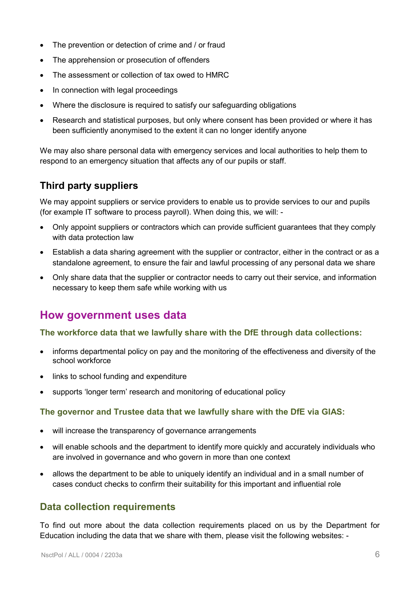- The prevention or detection of crime and / or fraud
- The apprehension or prosecution of offenders
- The assessment or collection of tax owed to HMRC
- In connection with legal proceedings
- Where the disclosure is required to satisfy our safeguarding obligations
- Research and statistical purposes, but only where consent has been provided or where it has been sufficiently anonymised to the extent it can no longer identify anyone

We may also share personal data with emergency services and local authorities to help them to respond to an emergency situation that affects any of our pupils or staff.

## **Third party suppliers**

We may appoint suppliers or service providers to enable us to provide services to our and pupils (for example IT software to process payroll). When doing this, we will: -

- Only appoint suppliers or contractors which can provide sufficient guarantees that they comply with data protection law
- Establish a data sharing agreement with the supplier or contractor, either in the contract or as a standalone agreement, to ensure the fair and lawful processing of any personal data we share
- Only share data that the supplier or contractor needs to carry out their service, and information necessary to keep them safe while working with us

## **How government uses data**

#### **The workforce data that we lawfully share with the DfE through data collections:**

- informs departmental policy on pay and the monitoring of the effectiveness and diversity of the school workforce
- links to school funding and expenditure
- supports 'longer term' research and monitoring of educational policy

#### **The governor and Trustee data that we lawfully share with the DfE via GIAS:**

- will increase the transparency of governance arrangements
- will enable schools and the department to identify more quickly and accurately individuals who are involved in governance and who govern in more than one context
- allows the department to be able to uniquely identify an individual and in a small number of cases conduct checks to confirm their suitability for this important and influential role

## **Data collection requirements**

To find out more about the data collection requirements placed on us by the Department for Education including the data that we share with them, please visit the following websites: -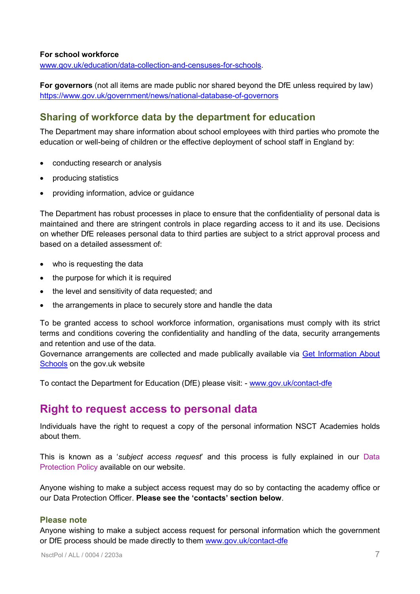#### **For school workforce**

[www.gov.uk/education/data-collection-and-censuses-for-schools.](http://www.gov.uk/education/data-collection-and-censuses-for-schools)

**For governors** (not all items are made public nor shared beyond the DfE unless required by law) <https://www.gov.uk/government/news/national-database-of-governors>

## **Sharing of workforce data by the department for education**

The Department may share information about school employees with third parties who promote the education or well-being of children or the effective deployment of school staff in England by:

- conducting research or analysis
- producing statistics
- providing information, advice or guidance

The Department has robust processes in place to ensure that the confidentiality of personal data is maintained and there are stringent controls in place regarding access to it and its use. Decisions on whether DfE releases personal data to third parties are subject to a strict approval process and based on a detailed assessment of:

- who is requesting the data
- the purpose for which it is required
- the level and sensitivity of data requested; and
- the arrangements in place to securely store and handle the data

To be granted access to school workforce information, organisations must comply with its strict terms and conditions covering the confidentiality and handling of the data, security arrangements and retention and use of the data.

Governance arrangements are collected and made publically available via [Get Information About](https://get-information-schools.service.gov.uk/Downloads)  [Schools](https://get-information-schools.service.gov.uk/Downloads) on the gov.uk website

To contact the Department for Education (DfE) please visit: - [www.gov.uk/contact-dfe](http://www.gov.uk/contact-dfe)

## **Right to request access to personal data**

Individuals have the right to request a copy of the personal information NSCT Academies holds about them.

This is known as a '*subject access request*' and this process is fully explained in our Data Protection Policy available on our website.

Anyone wishing to make a subject access request may do so by contacting the academy office or our Data Protection Officer. **Please see the 'contacts' section below**.

#### **Please note**

Anyone wishing to make a subject access request for personal information which the government or DfE process should be made directly to them [www.gov.uk/contact-dfe](http://www.gov.uk/contact-dfe)